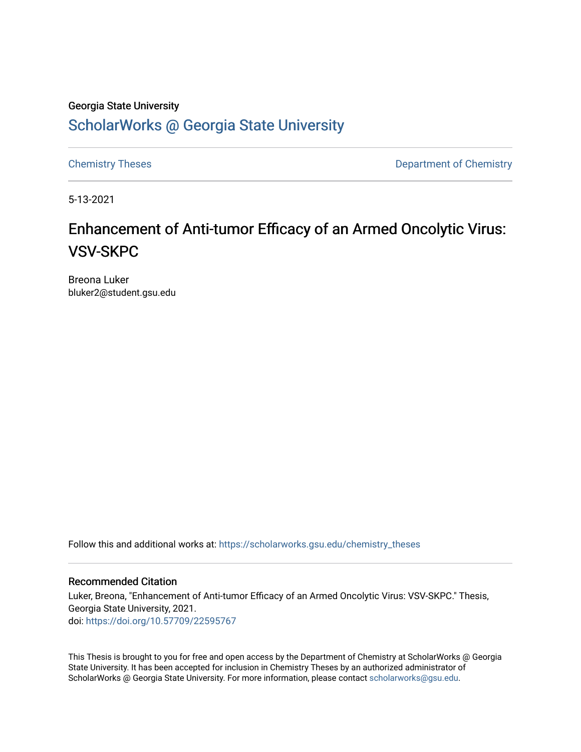# Georgia State University [ScholarWorks @ Georgia State University](https://scholarworks.gsu.edu/)

[Chemistry Theses](https://scholarworks.gsu.edu/chemistry_theses) **Department of Chemistry** 

5-13-2021

# Enhancement of Anti-tumor Efficacy of an Armed Oncolytic Virus: VSV-SKPC

Breona Luker bluker2@student.gsu.edu

Follow this and additional works at: [https://scholarworks.gsu.edu/chemistry\\_theses](https://scholarworks.gsu.edu/chemistry_theses?utm_source=scholarworks.gsu.edu%2Fchemistry_theses%2F144&utm_medium=PDF&utm_campaign=PDFCoverPages)

#### Recommended Citation

Luker, Breona, "Enhancement of Anti-tumor Efficacy of an Armed Oncolytic Virus: VSV-SKPC." Thesis, Georgia State University, 2021. doi: <https://doi.org/10.57709/22595767>

This Thesis is brought to you for free and open access by the Department of Chemistry at ScholarWorks @ Georgia State University. It has been accepted for inclusion in Chemistry Theses by an authorized administrator of ScholarWorks @ Georgia State University. For more information, please contact [scholarworks@gsu.edu](mailto:scholarworks@gsu.edu).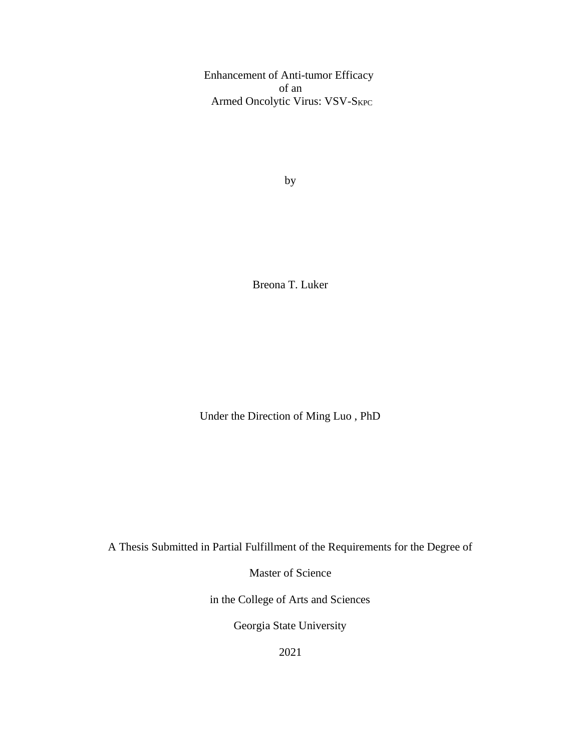Enhancement of Anti-tumor Efficacy of an Armed Oncolytic Virus: VSV-SKPC

by

Breona T. Luker

Under the Direction of Ming Luo , PhD

A Thesis Submitted in Partial Fulfillment of the Requirements for the Degree of

Master of Science

in the College of Arts and Sciences

Georgia State University

2021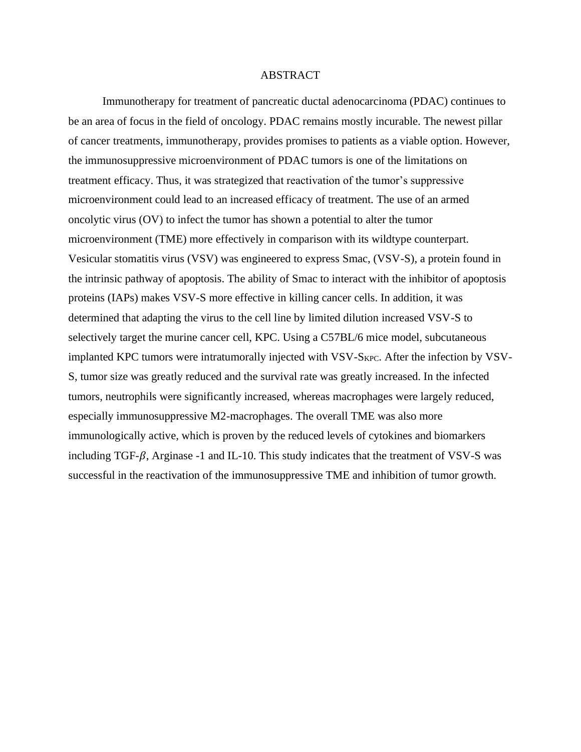#### ABSTRACT

Immunotherapy for treatment of pancreatic ductal adenocarcinoma (PDAC) continues to be an area of focus in the field of oncology. PDAC remains mostly incurable. The newest pillar of cancer treatments, immunotherapy, provides promises to patients as a viable option. However, the immunosuppressive microenvironment of PDAC tumors is one of the limitations on treatment efficacy. Thus, it was strategized that reactivation of the tumor's suppressive microenvironment could lead to an increased efficacy of treatment. The use of an armed oncolytic virus (OV) to infect the tumor has shown a potential to alter the tumor microenvironment (TME) more effectively in comparison with its wildtype counterpart. Vesicular stomatitis virus (VSV) was engineered to express Smac, (VSV-S), a protein found in the intrinsic pathway of apoptosis. The ability of Smac to interact with the inhibitor of apoptosis proteins (IAPs) makes VSV-S more effective in killing cancer cells. In addition, it was determined that adapting the virus to the cell line by limited dilution increased VSV-S to selectively target the murine cancer cell, KPC. Using a C57BL/6 mice model, subcutaneous implanted KPC tumors were intratumorally injected with VSV-SKPC. After the infection by VSV-S, tumor size was greatly reduced and the survival rate was greatly increased. In the infected tumors, neutrophils were significantly increased, whereas macrophages were largely reduced, especially immunosuppressive M2-macrophages. The overall TME was also more immunologically active, which is proven by the reduced levels of cytokines and biomarkers including TGF- $\beta$ , Arginase -1 and IL-10. This study indicates that the treatment of VSV-S was successful in the reactivation of the immunosuppressive TME and inhibition of tumor growth.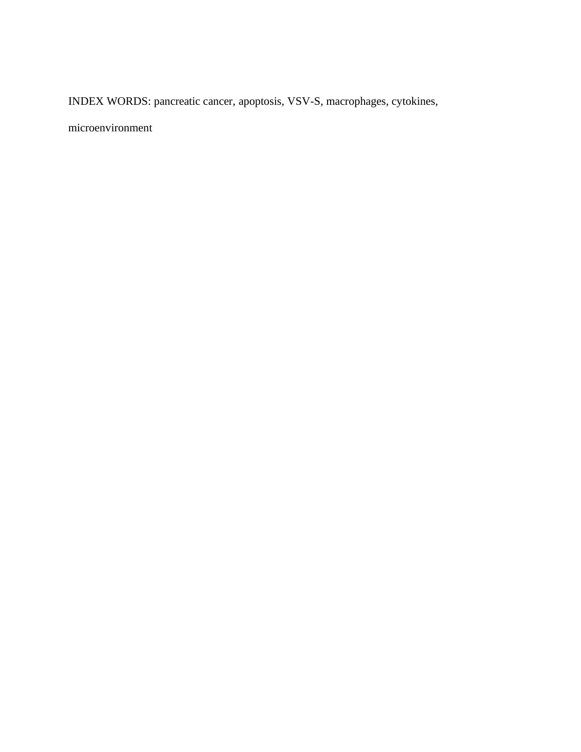INDEX WORDS: pancreatic cancer, apoptosis, VSV-S, macrophages, cytokines,

microenvironment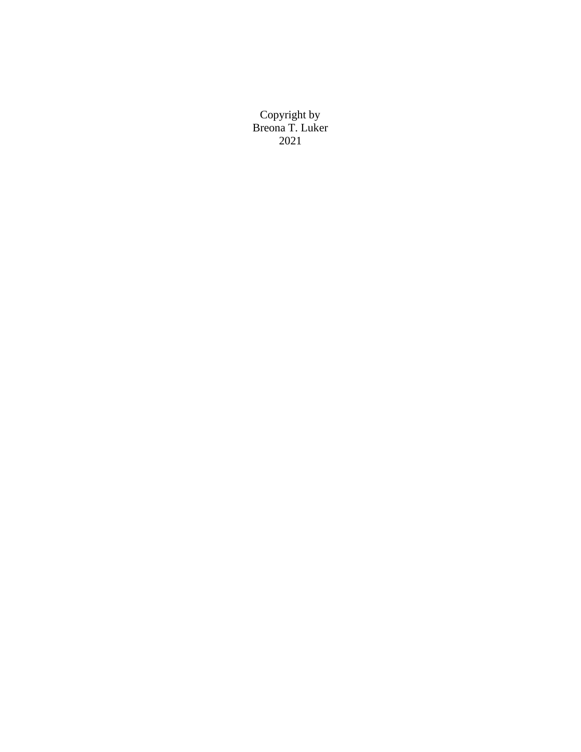Copyright by Breona T. Luker 2021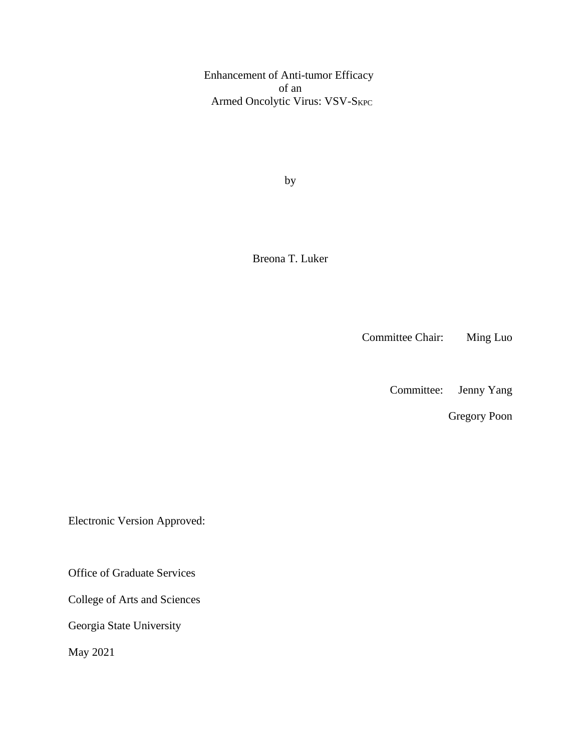Enhancement of Anti-tumor Efficacy of an Armed Oncolytic Virus: VSV-SKPC

by

Breona T. Luker

Committee Chair: Ming Luo

Committee: Jenny Yang

Gregory Poon

Electronic Version Approved:

Office of Graduate Services

College of Arts and Sciences

Georgia State University

May 2021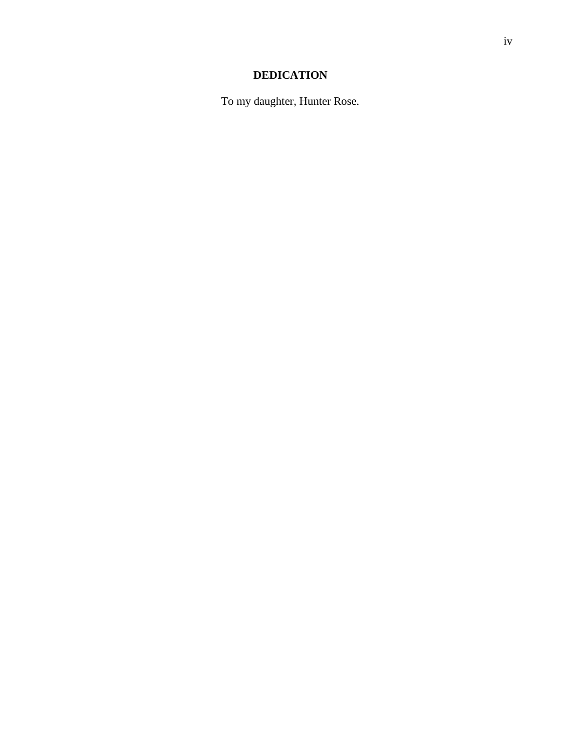# **DEDICATION**

To my daughter, Hunter Rose.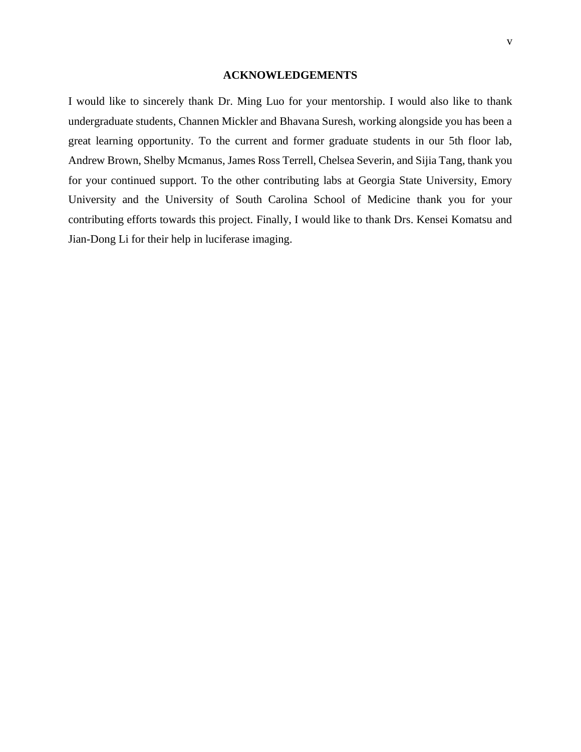#### **ACKNOWLEDGEMENTS**

I would like to sincerely thank Dr. Ming Luo for your mentorship. I would also like to thank undergraduate students, Channen Mickler and Bhavana Suresh, working alongside you has been a great learning opportunity. To the current and former graduate students in our 5th floor lab, Andrew Brown, Shelby Mcmanus, James Ross Terrell, Chelsea Severin, and Sijia Tang, thank you for your continued support. To the other contributing labs at Georgia State University, Emory University and the University of South Carolina School of Medicine thank you for your contributing efforts towards this project. Finally, I would like to thank Drs. Kensei Komatsu and Jian-Dong Li for their help in luciferase imaging.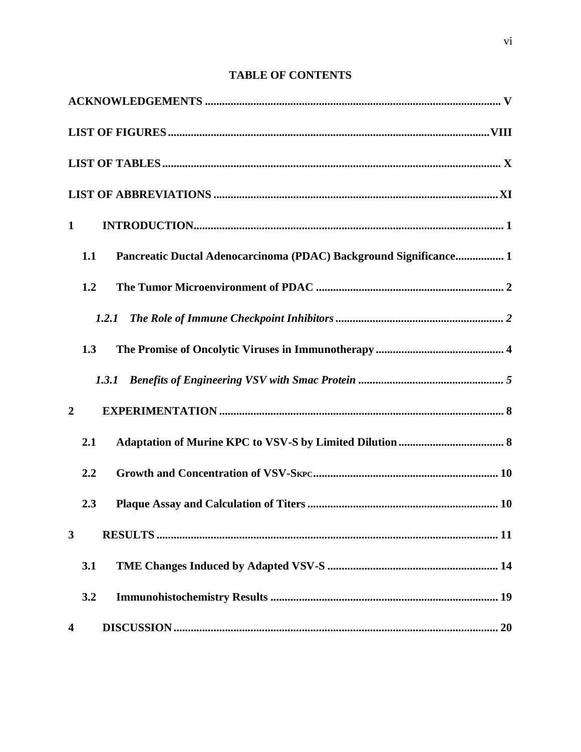# **TABLE OF CONTENTS**

| $\mathbf{1}$   |       |                                                                   |
|----------------|-------|-------------------------------------------------------------------|
|                | 1.1   | Pancreatic Ductal Adenocarcinoma (PDAC) Background Significance 1 |
|                | 1.2   |                                                                   |
|                | 1.2.1 |                                                                   |
|                | 1.3   |                                                                   |
|                | 1.3.1 |                                                                   |
| $\overline{2}$ |       |                                                                   |
|                | 2.1   |                                                                   |
|                | 2.2   |                                                                   |
|                | 2.3   |                                                                   |
| 3              |       |                                                                   |
|                | 3.1   |                                                                   |
|                | 3.2   |                                                                   |
| 4              |       |                                                                   |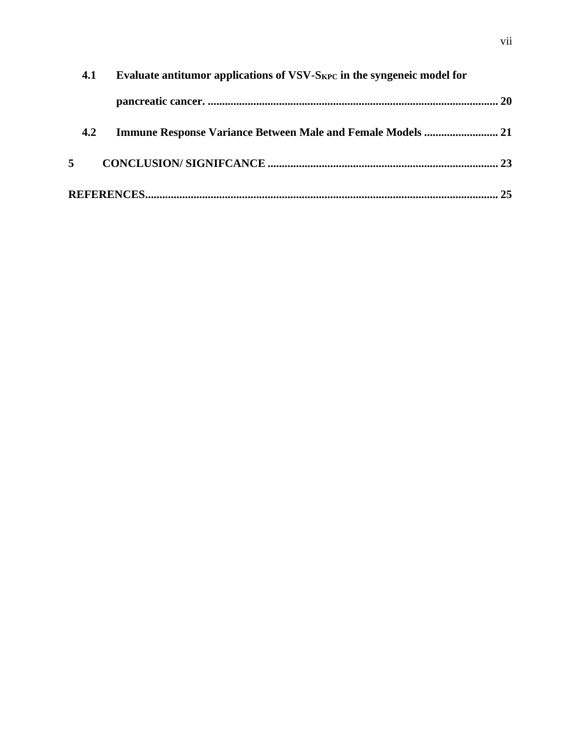|    | 4.1 | Evaluate antitumor applications of VSV-S <sub>KPC</sub> in the syngeneic model for |     |
|----|-----|------------------------------------------------------------------------------------|-----|
|    |     |                                                                                    |     |
|    | 4.2 |                                                                                    |     |
| 5. |     |                                                                                    |     |
|    |     |                                                                                    | .25 |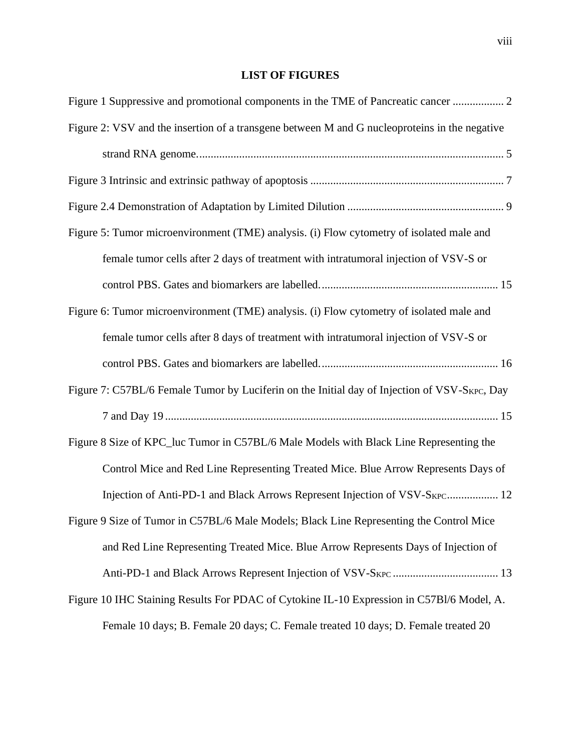# **LIST OF FIGURES**

| Figure 2: VSV and the insertion of a transgene between M and G nucleoproteins in the negative |
|-----------------------------------------------------------------------------------------------|
|                                                                                               |
|                                                                                               |
|                                                                                               |
| Figure 5: Tumor microenvironment (TME) analysis. (i) Flow cytometry of isolated male and      |
| female tumor cells after 2 days of treatment with intratumoral injection of VSV-S or          |
|                                                                                               |
| Figure 6: Tumor microenvironment (TME) analysis. (i) Flow cytometry of isolated male and      |
| female tumor cells after 8 days of treatment with intratumoral injection of VSV-S or          |
|                                                                                               |
| Figure 7: C57BL/6 Female Tumor by Luciferin on the Initial day of Injection of VSV-SKPC, Day  |
|                                                                                               |
| Figure 8 Size of KPC_luc Tumor in C57BL/6 Male Models with Black Line Representing the        |
| Control Mice and Red Line Representing Treated Mice. Blue Arrow Represents Days of            |
| Injection of Anti-PD-1 and Black Arrows Represent Injection of VSV-S <sub>KPC</sub> 12        |
| Figure 9 Size of Tumor in C57BL/6 Male Models; Black Line Representing the Control Mice       |
| and Red Line Representing Treated Mice. Blue Arrow Represents Days of Injection of            |
|                                                                                               |
| Figure 10 IHC Staining Results For PDAC of Cytokine IL-10 Expression in C57Bl/6 Model, A.     |
|                                                                                               |

[Female 10 days; B. Female 20 days; C. Female treated 10 days; D. Female treated 20](#page-31-0)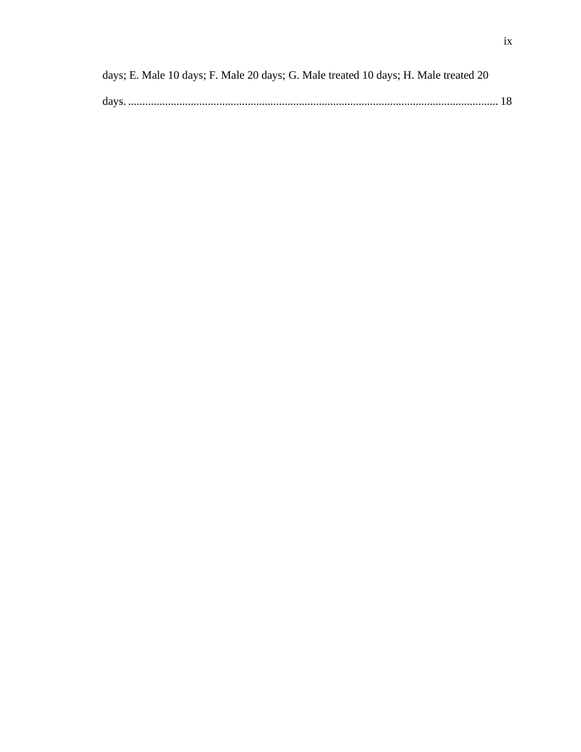| days; E. Male 10 days; F. Male 20 days; G. Male treated 10 days; H. Male treated 20 |  |
|-------------------------------------------------------------------------------------|--|
|                                                                                     |  |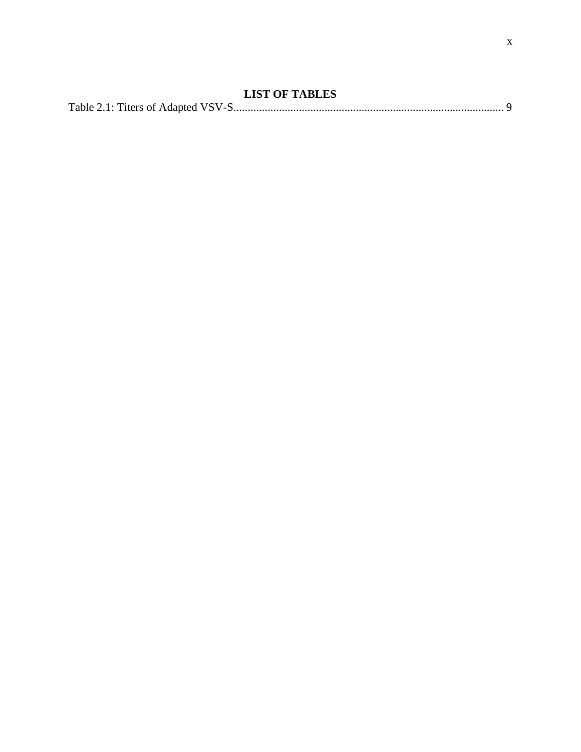| <b>LIST OF TABLES</b> |  |
|-----------------------|--|
|                       |  |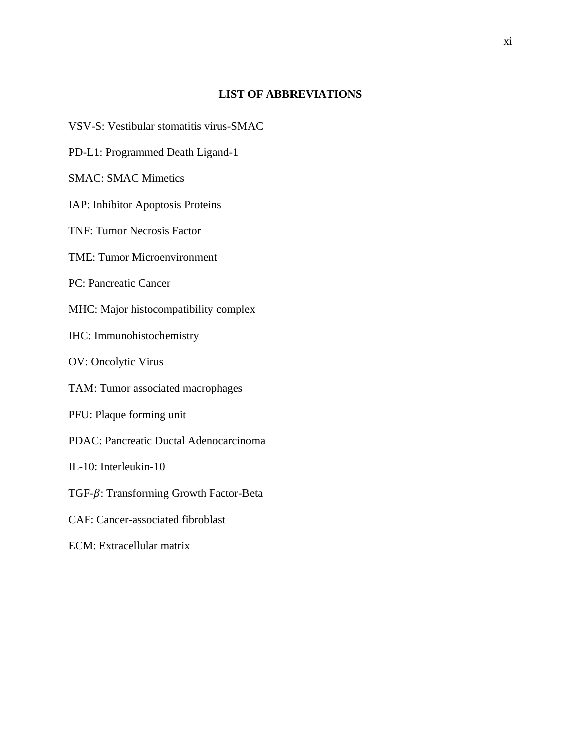# **LIST OF ABBREVIATIONS**

- VSV-S: Vestibular stomatitis virus-SMAC
- PD-L1: Programmed Death Ligand-1
- SMAC: SMAC Mimetics
- IAP: Inhibitor Apoptosis Proteins
- TNF: Tumor Necrosis Factor
- TME: Tumor Microenvironment
- PC: Pancreatic Cancer
- MHC: Major histocompatibility complex
- IHC: Immunohistochemistry
- OV: Oncolytic Virus
- TAM: Tumor associated macrophages
- PFU: Plaque forming unit
- PDAC: Pancreatic Ductal Adenocarcinoma
- IL-10: Interleukin-10
- TGF- $\beta$ : Transforming Growth Factor-Beta
- CAF: Cancer-associated fibroblast
- ECM: Extracellular matrix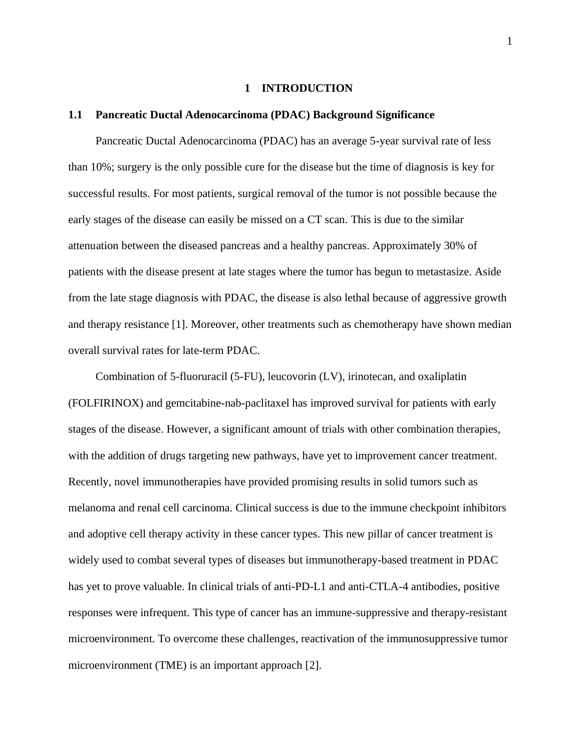#### **1 INTRODUCTION**

#### **1.1 Pancreatic Ductal Adenocarcinoma (PDAC) Background Significance**

Pancreatic Ductal Adenocarcinoma (PDAC) has an average 5-year survival rate of less than 10%; surgery is the only possible cure for the disease but the time of diagnosis is key for successful results. For most patients, surgical removal of the tumor is not possible because the early stages of the disease can easily be missed on a CT scan. This is due to the similar attenuation between the diseased pancreas and a healthy pancreas. Approximately 30% of patients with the disease present at late stages where the tumor has begun to metastasize. Aside from the late stage diagnosis with PDAC, the disease is also lethal because of aggressive growth and therapy resistance [1]. Moreover, other treatments such as chemotherapy have shown median overall survival rates for late-term PDAC.

Combination of 5-fluoruracil (5-FU), leucovorin (LV), irinotecan, and oxaliplatin (FOLFIRINOX) and gemcitabine-nab-paclitaxel has improved survival for patients with early stages of the disease. However, a significant amount of trials with other combination therapies, with the addition of drugs targeting new pathways, have yet to improvement cancer treatment. Recently, novel immunotherapies have provided promising results in solid tumors such as melanoma and renal cell carcinoma. Clinical success is due to the immune checkpoint inhibitors and adoptive cell therapy activity in these cancer types. This new pillar of cancer treatment is widely used to combat several types of diseases but immunotherapy-based treatment in PDAC has yet to prove valuable. In clinical trials of anti-PD-L1 and anti-CTLA-4 antibodies, positive responses were infrequent. This type of cancer has an immune-suppressive and therapy-resistant microenvironment. To overcome these challenges, reactivation of the immunosuppressive tumor microenvironment (TME) is an important approach [2].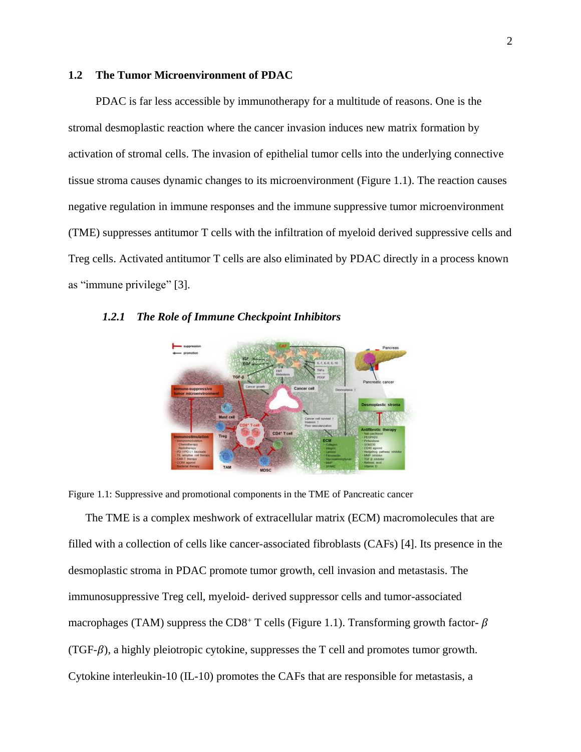# **1.2 The Tumor Microenvironment of PDAC**

PDAC is far less accessible by immunotherapy for a multitude of reasons. One is the stromal desmoplastic reaction where the cancer invasion induces new matrix formation by activation of stromal cells. The invasion of epithelial tumor cells into the underlying connective tissue stroma causes dynamic changes to its microenvironment (Figure 1.1). The reaction causes negative regulation in immune responses and the immune suppressive tumor microenvironment (TME) suppresses antitumor T cells with the infiltration of myeloid derived suppressive cells and Treg cells. Activated antitumor T cells are also eliminated by PDAC directly in a process known as "immune privilege" [3].



#### *1.2.1 The Role of Immune Checkpoint Inhibitors*

<span id="page-15-0"></span>Figure 1.1: Suppressive and promotional components in the TME of Pancreatic cancer

The TME is a complex meshwork of extracellular matrix (ECM) macromolecules that are filled with a collection of cells like cancer-associated fibroblasts (CAFs) [4]. Its presence in the desmoplastic stroma in PDAC promote tumor growth, cell invasion and metastasis. The immunosuppressive Treg cell, myeloid- derived suppressor cells and tumor-associated macrophages (TAM) suppress the CD8<sup>+</sup> T cells (Figure 1.1). Transforming growth factor- $\beta$  $(TGF-\beta)$ , a highly pleiotropic cytokine, suppresses the T cell and promotes tumor growth. Cytokine interleukin-10 (IL-10) promotes the CAFs that are responsible for metastasis, a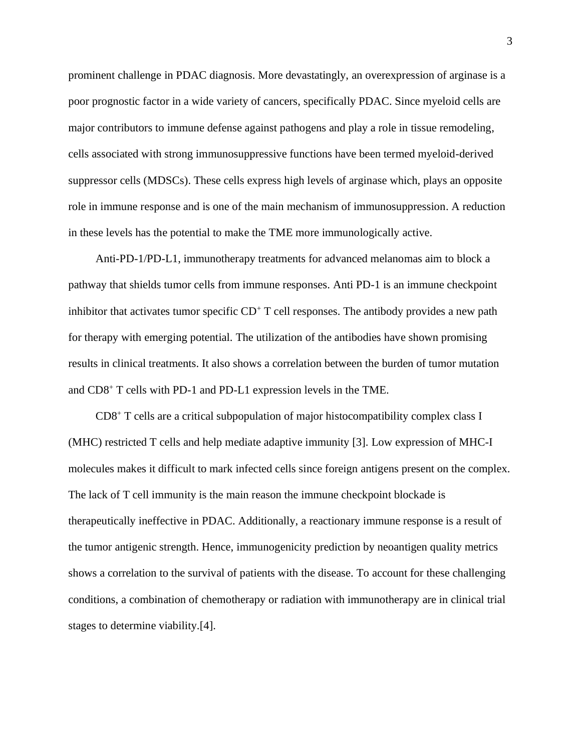prominent challenge in PDAC diagnosis. More devastatingly, an overexpression of arginase is a poor prognostic factor in a wide variety of cancers, specifically PDAC. Since myeloid cells are major contributors to immune defense against pathogens and play a role in tissue remodeling, cells associated with strong immunosuppressive functions have been termed myeloid-derived suppressor cells (MDSCs). These cells express high levels of arginase which, plays an opposite role in immune response and is one of the main mechanism of immunosuppression. A reduction in these levels has the potential to make the TME more immunologically active.

Anti-PD-1/PD-L1, immunotherapy treatments for advanced melanomas aim to block a pathway that shields tumor cells from immune responses. Anti PD-1 is an immune checkpoint inhibitor that activates tumor specific  $CD<sup>+</sup> T$  cell responses. The antibody provides a new path for therapy with emerging potential. The utilization of the antibodies have shown promising results in clinical treatments. It also shows a correlation between the burden of tumor mutation and CD8<sup>+</sup> T cells with PD-1 and PD-L1 expression levels in the TME.

CD8 <sup>+</sup> T cells are a critical subpopulation of major histocompatibility complex class I (MHC) restricted T cells and help mediate adaptive immunity [3]. Low expression of MHC-I molecules makes it difficult to mark infected cells since foreign antigens present on the complex. The lack of T cell immunity is the main reason the immune checkpoint blockade is therapeutically ineffective in PDAC. Additionally, a reactionary immune response is a result of the tumor antigenic strength. Hence, immunogenicity prediction by neoantigen quality metrics shows a correlation to the survival of patients with the disease. To account for these challenging conditions, a combination of chemotherapy or radiation with immunotherapy are in clinical trial stages to determine viability.[4].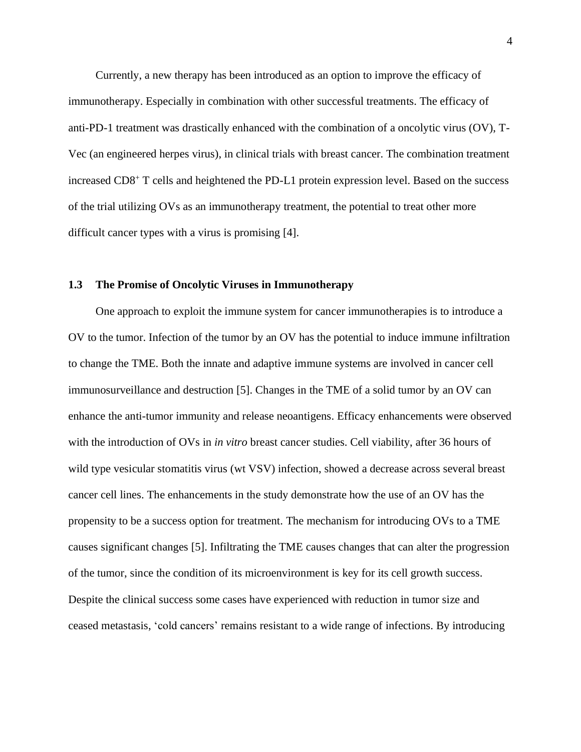Currently, a new therapy has been introduced as an option to improve the efficacy of immunotherapy. Especially in combination with other successful treatments. The efficacy of anti-PD-1 treatment was drastically enhanced with the combination of a oncolytic virus (OV), T-Vec (an engineered herpes virus), in clinical trials with breast cancer. The combination treatment increased CD8<sup>+</sup> T cells and heightened the PD-L1 protein expression level. Based on the success of the trial utilizing OVs as an immunotherapy treatment, the potential to treat other more difficult cancer types with a virus is promising [4].

#### **1.3 The Promise of Oncolytic Viruses in Immunotherapy**

One approach to exploit the immune system for cancer immunotherapies is to introduce a OV to the tumor. Infection of the tumor by an OV has the potential to induce immune infiltration to change the TME. Both the innate and adaptive immune systems are involved in cancer cell immunosurveillance and destruction [5]. Changes in the TME of a solid tumor by an OV can enhance the anti-tumor immunity and release neoantigens. Efficacy enhancements were observed with the introduction of OVs in *in vitro* breast cancer studies. Cell viability, after 36 hours of wild type vesicular stomatitis virus (wt VSV) infection, showed a decrease across several breast cancer cell lines. The enhancements in the study demonstrate how the use of an OV has the propensity to be a success option for treatment. The mechanism for introducing OVs to a TME causes significant changes [5]. Infiltrating the TME causes changes that can alter the progression of the tumor, since the condition of its microenvironment is key for its cell growth success. Despite the clinical success some cases have experienced with reduction in tumor size and ceased metastasis, 'cold cancers' remains resistant to a wide range of infections. By introducing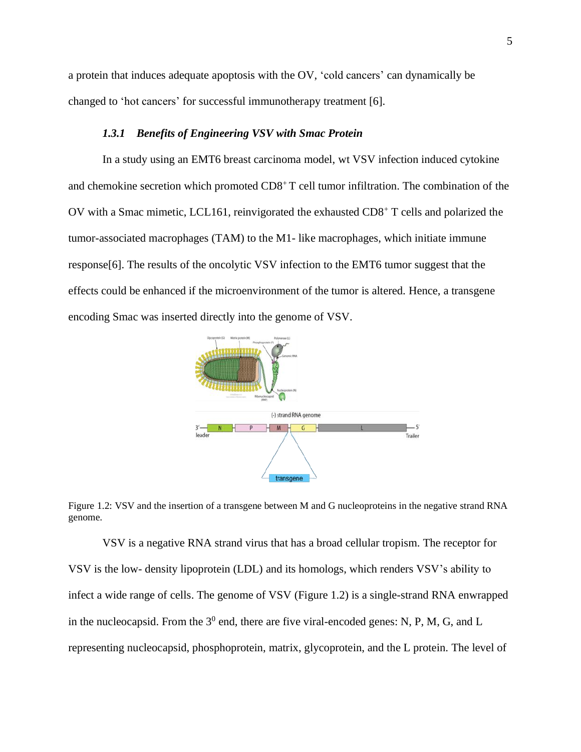a protein that induces adequate apoptosis with the OV, 'cold cancers' can dynamically be changed to 'hot cancers' for successful immunotherapy treatment [6].

#### *1.3.1 Benefits of Engineering VSV with Smac Protein*

In a study using an EMT6 breast carcinoma model, wt VSV infection induced cytokine and chemokine secretion which promoted CD8<sup>+</sup>T cell tumor infiltration. The combination of the OV with a Smac mimetic, LCL161, reinvigorated the exhausted CD8<sup>+</sup> T cells and polarized the tumor-associated macrophages (TAM) to the M1- like macrophages, which initiate immune response[6]. The results of the oncolytic VSV infection to the EMT6 tumor suggest that the effects could be enhanced if the microenvironment of the tumor is altered. Hence, a transgene encoding Smac was inserted directly into the genome of VSV.



<span id="page-18-0"></span>Figure 1.2: VSV and the insertion of a transgene between M and G nucleoproteins in the negative strand RNA genome.

VSV is a negative RNA strand virus that has a broad cellular tropism. The receptor for VSV is the low- density lipoprotein (LDL) and its homologs, which renders VSV's ability to infect a wide range of cells. The genome of VSV (Figure 1.2) is a single-strand RNA enwrapped in the nucleocapsid. From the  $3^0$  end, there are five viral-encoded genes: N, P, M, G, and L representing nucleocapsid, phosphoprotein, matrix, glycoprotein, and the L protein. The level of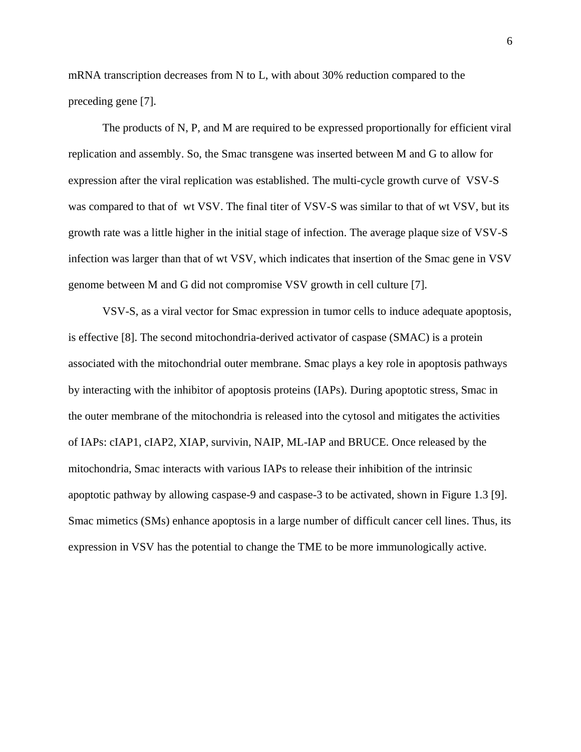mRNA transcription decreases from N to L, with about 30% reduction compared to the preceding gene [7].

The products of N, P, and M are required to be expressed proportionally for efficient viral replication and assembly. So, the Smac transgene was inserted between M and G to allow for expression after the viral replication was established. The multi-cycle growth curve of VSV-S was compared to that of wt VSV. The final titer of VSV-S was similar to that of wt VSV, but its growth rate was a little higher in the initial stage of infection. The average plaque size of VSV-S infection was larger than that of wt VSV, which indicates that insertion of the Smac gene in VSV genome between M and G did not compromise VSV growth in cell culture [7].

VSV-S, as a viral vector for Smac expression in tumor cells to induce adequate apoptosis, is effective [8]. The second mitochondria-derived activator of caspase (SMAC) is a protein associated with the mitochondrial outer membrane. Smac plays a key role in apoptosis pathways by interacting with the inhibitor of apoptosis proteins (IAPs). During apoptotic stress, Smac in the outer membrane of the mitochondria is released into the cytosol and mitigates the activities of IAPs: cIAP1, cIAP2, XIAP, survivin, NAIP, ML-IAP and BRUCE. Once released by the mitochondria, Smac interacts with various IAPs to release their inhibition of the intrinsic apoptotic pathway by allowing caspase-9 and caspase-3 to be activated, shown in Figure 1.3 [9]. Smac mimetics (SMs) enhance apoptosis in a large number of difficult cancer cell lines. Thus, its expression in VSV has the potential to change the TME to be more immunologically active.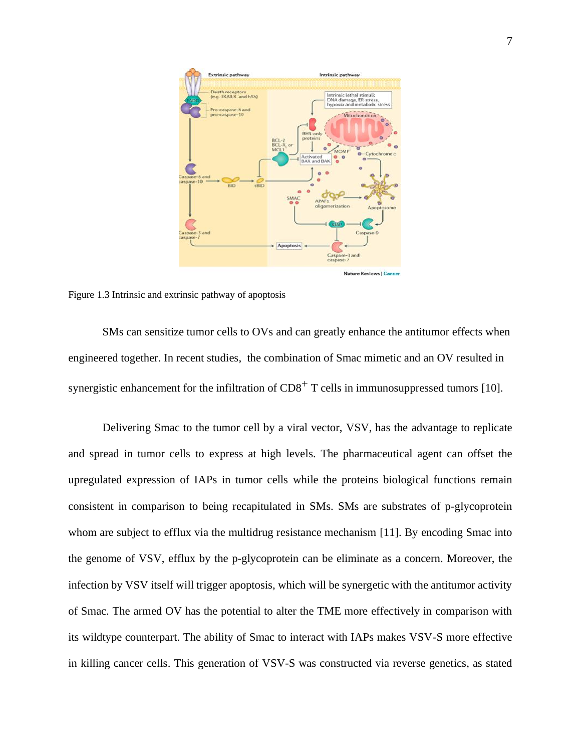

<span id="page-20-0"></span>Figure 1.3 Intrinsic and extrinsic pathway of apoptosis

SMs can sensitize tumor cells to OVs and can greatly enhance the antitumor effects when engineered together. In recent studies, the combination of Smac mimetic and an OV resulted in synergistic enhancement for the infiltration of  $CD8<sup>+</sup>$  T cells in immunosuppressed tumors [10].

Delivering Smac to the tumor cell by a viral vector, VSV, has the advantage to replicate and spread in tumor cells to express at high levels. The pharmaceutical agent can offset the upregulated expression of IAPs in tumor cells while the proteins biological functions remain consistent in comparison to being recapitulated in SMs. SMs are substrates of p-glycoprotein whom are subject to efflux via the multidrug resistance mechanism [11]. By encoding Smac into the genome of VSV, efflux by the p-glycoprotein can be eliminate as a concern. Moreover, the infection by VSV itself will trigger apoptosis, which will be synergetic with the antitumor activity of Smac. The armed OV has the potential to alter the TME more effectively in comparison with its wildtype counterpart. The ability of Smac to interact with IAPs makes VSV-S more effective in killing cancer cells. This generation of VSV-S was constructed via reverse genetics, as stated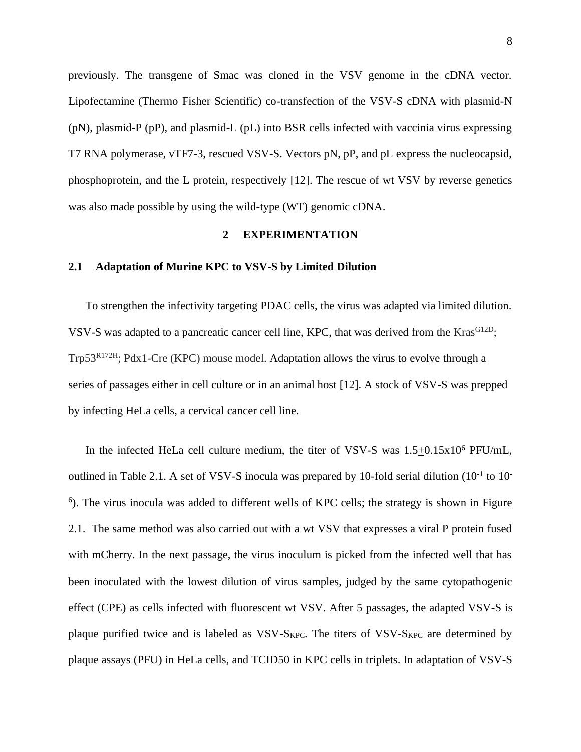previously. The transgene of Smac was cloned in the VSV genome in the cDNA vector. Lipofectamine (Thermo Fisher Scientific) co-transfection of the VSV-S cDNA with plasmid-N (pN), plasmid-P (pP), and plasmid-L (pL) into BSR cells infected with vaccinia virus expressing T7 RNA polymerase, vTF7-3, rescued VSV-S. Vectors pN, pP, and pL express the nucleocapsid, phosphoprotein, and the L protein, respectively [12]. The rescue of wt VSV by reverse genetics was also made possible by using the wild-type (WT) genomic cDNA.

#### **2 EXPERIMENTATION**

# **2.1 Adaptation of Murine KPC to VSV-S by Limited Dilution**

To strengthen the infectivity targeting PDAC cells, the virus was adapted via limited dilution. VSV-S was adapted to a pancreatic cancer cell line, KPC, that was derived from the  $Kras^{G12D}$ ; Trp53R172H; Pdx1-Cre (KPC) mouse model. Adaptation allows the virus to evolve through a series of passages either in cell culture or in an animal host [12]. A stock of VSV-S was prepped by infecting HeLa cells, a cervical cancer cell line.

In the infected HeLa cell culture medium, the titer of VSV-S was  $1.5+0.15 \times 10^6$  PFU/mL, outlined in Table 2.1. A set of VSV-S inocula was prepared by 10-fold serial dilution  $(10^{-1}$  to 10<sup>-</sup> <sup>6</sup>). The virus inocula was added to different wells of KPC cells; the strategy is shown in Figure 2.1. The same method was also carried out with a wt VSV that expresses a viral P protein fused with mCherry. In the next passage, the virus inoculum is picked from the infected well that has been inoculated with the lowest dilution of virus samples, judged by the same cytopathogenic effect (CPE) as cells infected with fluorescent wt VSV. After 5 passages, the adapted VSV-S is plaque purified twice and is labeled as VSV-SKPC. The titers of VSV-SKPC are determined by plaque assays (PFU) in HeLa cells, and TCID50 in KPC cells in triplets. In adaptation of VSV-S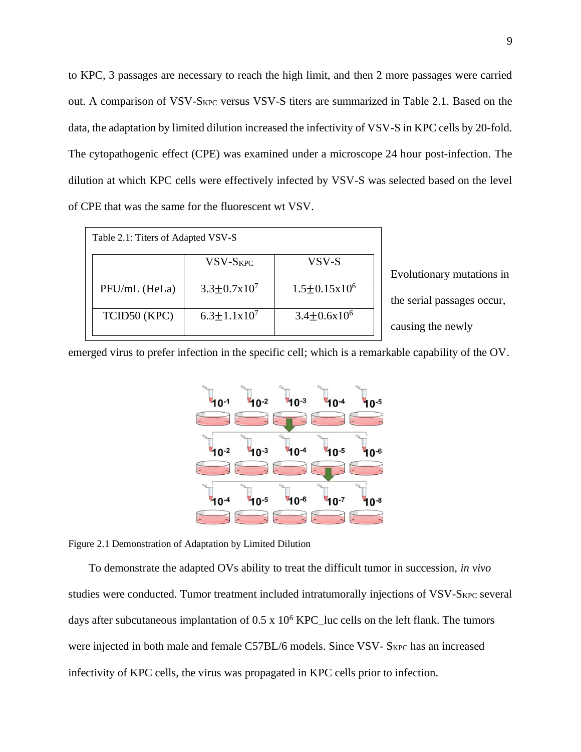to KPC, 3 passages are necessary to reach the high limit, and then 2 more passages were carried out. A comparison of VSV-S<sub>KPC</sub> versus VSV-S titers are summarized in Table 2.1. Based on the data, the adaptation by limited dilution increased the infectivity of VSV-S in KPC cells by 20-fold. The cytopathogenic effect (CPE) was examined under a microscope 24 hour post-infection. The dilution at which KPC cells were effectively infected by VSV-S was selected based on the level of CPE that was the same for the fluorescent wt VSV.

| Table 2.1: Titers of Adapted VSV-S |                           |                            |  |  |  |  |  |
|------------------------------------|---------------------------|----------------------------|--|--|--|--|--|
|                                    | <b>VSV-SKPC</b>           | VSV-S                      |  |  |  |  |  |
| PFU/mL (HeLa)                      | $3.3 \pm 0.7 \times 10^7$ | $1.5 \pm 0.15 \times 10^6$ |  |  |  |  |  |
| TCID50 (KPC)                       | $6.3 \pm 1.1 \times 10^7$ | $3.4 \pm 0.6x10^6$         |  |  |  |  |  |

Evolutionary mutations in the serial passages occur, causing the newly

emerged virus to prefer infection in the specific cell; which is a remarkable capability of the OV.



<span id="page-22-0"></span>Figure 2.1 Demonstration of Adaptation by Limited Dilution

To demonstrate the adapted OVs ability to treat the difficult tumor in succession, *in vivo* studies were conducted. Tumor treatment included intratumorally injections of VSV-S<sub>KPC</sub> several days after subcutaneous implantation of  $0.5 \times 10^6$  KPC\_luc cells on the left flank. The tumors were injected in both male and female C57BL/6 models. Since VSV- SKPC has an increased infectivity of KPC cells, the virus was propagated in KPC cells prior to infection.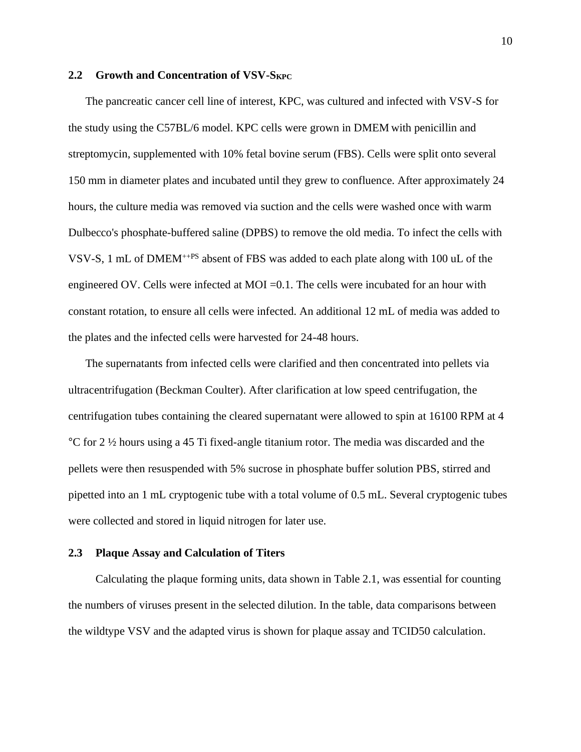#### **2.2 Growth and Concentration of VSV-SKPC**

The pancreatic cancer cell line of interest, KPC, was cultured and infected with VSV-S for the study using the C57BL/6 model. KPC cells were grown in DMEM with penicillin and streptomycin, supplemented with 10% fetal bovine serum (FBS). Cells were split onto several 150 mm in diameter plates and incubated until they grew to confluence. After approximately 24 hours, the culture media was removed via suction and the cells were washed once with warm Dulbecco's phosphate-buffered saline (DPBS) to remove the old media. To infect the cells with VSV-S, 1 mL of DMEM++PS absent of FBS was added to each plate along with 100 uL of the engineered OV. Cells were infected at MOI =0.1. The cells were incubated for an hour with constant rotation, to ensure all cells were infected. An additional 12 mL of media was added to the plates and the infected cells were harvested for 24-48 hours.

The supernatants from infected cells were clarified and then concentrated into pellets via ultracentrifugation (Beckman Coulter). After clarification at low speed centrifugation, the centrifugation tubes containing the cleared supernatant were allowed to spin at 16100 RPM at 4 °C for 2 ½ hours using a 45 Ti fixed-angle titanium rotor. The media was discarded and the pellets were then resuspended with 5% sucrose in phosphate buffer solution PBS, stirred and pipetted into an 1 mL cryptogenic tube with a total volume of 0.5 mL. Several cryptogenic tubes were collected and stored in liquid nitrogen for later use.

## **2.3 Plaque Assay and Calculation of Titers**

Calculating the plaque forming units, data shown in Table 2.1, was essential for counting the numbers of viruses present in the selected dilution. In the table, data comparisons between the wildtype VSV and the adapted virus is shown for plaque assay and TCID50 calculation.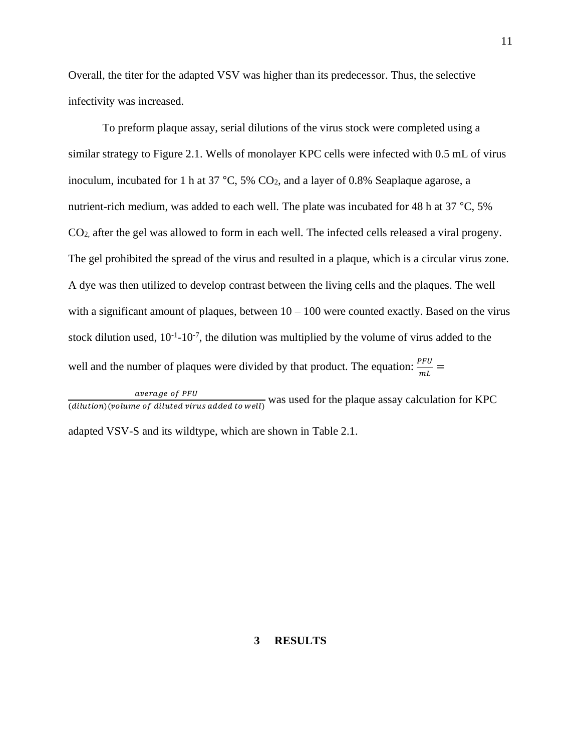Overall, the titer for the adapted VSV was higher than its predecessor. Thus, the selective infectivity was increased.

To preform plaque assay, serial dilutions of the virus stock were completed using a similar strategy to Figure 2.1. Wells of monolayer KPC cells were infected with 0.5 mL of virus inoculum, incubated for 1 h at 37  $\degree$ C, 5% CO<sub>2</sub>, and a layer of 0.8% Seaplaque agarose, a nutrient-rich medium, was added to each well. The plate was incubated for 48 h at 37 °C, 5% CO2, after the gel was allowed to form in each well. The infected cells released a viral progeny. The gel prohibited the spread of the virus and resulted in a plaque, which is a circular virus zone. A dye was then utilized to develop contrast between the living cells and the plaques. The well with a significant amount of plaques, between  $10 - 100$  were counted exactly. Based on the virus stock dilution used,  $10^{-1}$ - $10^{-7}$ , the dilution was multiplied by the volume of virus added to the well and the number of plaques were divided by that product. The equation:  $\frac{P F U}{mL}$  =

average of PFU  $\frac{u \nu_{\text{energy of}}}{\frac{d}{u}}$  was used for the plaque assay calculation for KPC

adapted VSV-S and its wildtype, which are shown in Table 2.1.

## **3 RESULTS**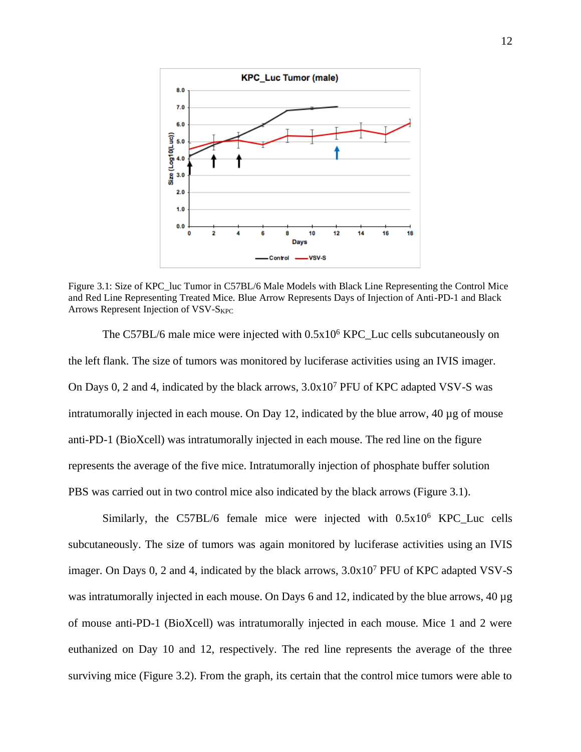

<span id="page-25-0"></span>Figure 3.1: Size of KPC\_luc Tumor in C57BL/6 Male Models with Black Line Representing the Control Mice and Red Line Representing Treated Mice. Blue Arrow Represents Days of Injection of Anti-PD-1 and Black Arrows Represent Injection of VSV-SKPC

The C57BL/6 male mice were injected with  $0.5x10^6$  KPC Luc cells subcutaneously on the left flank. The size of tumors was monitored by luciferase activities using an IVIS imager. On Days 0, 2 and 4, indicated by the black arrows, 3.0x10<sup>7</sup> PFU of KPC adapted VSV-S was intratumorally injected in each mouse. On Day 12, indicated by the blue arrow,  $40 \mu g$  of mouse anti-PD-1 (BioXcell) was intratumorally injected in each mouse. The red line on the figure represents the average of the five mice. Intratumorally injection of phosphate buffer solution PBS was carried out in two control mice also indicated by the black arrows (Figure 3.1).

Similarly, the C57BL/6 female mice were injected with  $0.5x10^6$  KPC Luc cells subcutaneously. The size of tumors was again monitored by luciferase activities using an IVIS imager. On Days 0, 2 and 4, indicated by the black arrows, 3.0x10<sup>7</sup> PFU of KPC adapted VSV-S was intratumorally injected in each mouse. On Days 6 and 12, indicated by the blue arrows, 40 µg of mouse anti-PD-1 (BioXcell) was intratumorally injected in each mouse. Mice 1 and 2 were euthanized on Day 10 and 12, respectively. The red line represents the average of the three surviving mice (Figure 3.2). From the graph, its certain that the control mice tumors were able to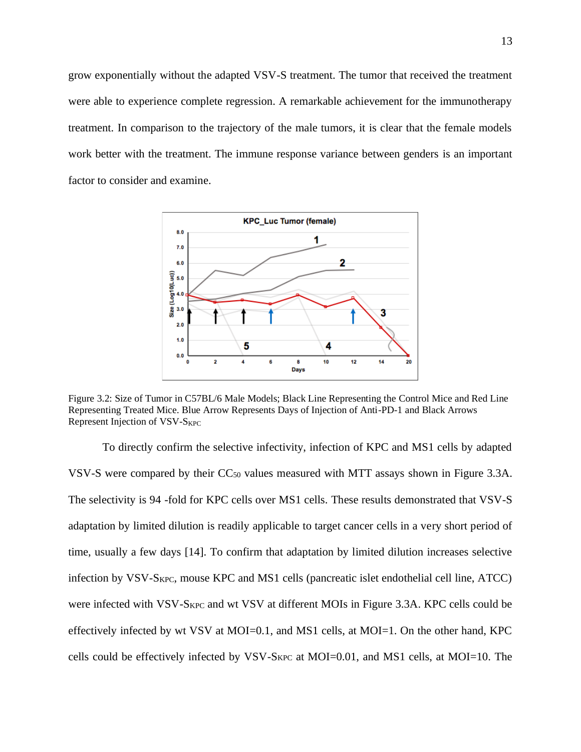grow exponentially without the adapted VSV-S treatment. The tumor that received the treatment were able to experience complete regression. A remarkable achievement for the immunotherapy treatment. In comparison to the trajectory of the male tumors, it is clear that the female models work better with the treatment. The immune response variance between genders is an important factor to consider and examine.



<span id="page-26-0"></span>Figure 3.2: Size of Tumor in C57BL/6 Male Models; Black Line Representing the Control Mice and Red Line Representing Treated Mice. Blue Arrow Represents Days of Injection of Anti-PD-1 and Black Arrows Represent Injection of VSV-S<sub>KPC</sub>

To directly confirm the selective infectivity, infection of KPC and MS1 cells by adapted VSV-S were compared by their CC<sup>50</sup> values measured with MTT assays shown in Figure 3.3A. The selectivity is 94 -fold for KPC cells over MS1 cells. These results demonstrated that VSV-S adaptation by limited dilution is readily applicable to target cancer cells in a very short period of time, usually a few days [14]. To confirm that adaptation by limited dilution increases selective infection by VSV-SKPC, mouse KPC and MS1 cells (pancreatic islet endothelial cell line, ATCC) were infected with VSV-SKPC and wt VSV at different MOIs in Figure 3.3A. KPC cells could be effectively infected by wt VSV at MOI=0.1, and MS1 cells, at MOI=1. On the other hand, KPC cells could be effectively infected by VSV-SKPC at MOI=0.01, and MS1 cells, at MOI=10. The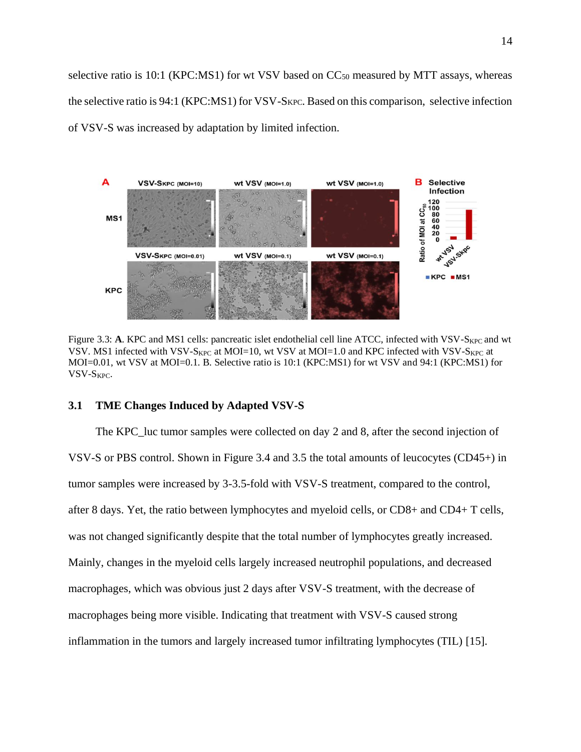selective ratio is 10:1 (KPC:MS1) for wt VSV based on  $CC_{50}$  measured by MTT assays, whereas the selective ratio is 94:1 (KPC:MS1) for VSV-SKPC. Based on this comparison, selective infection of VSV-S was increased by adaptation by limited infection.



Figure 3.3: A. KPC and MS1 cells: pancreatic islet endothelial cell line ATCC, infected with VSV-S<sub>KPC</sub> and wt VSV. MS1 infected with VSV-S<sub>KPC</sub> at MOI=10, wt VSV at MOI=1.0 and KPC infected with VSV-S<sub>KPC</sub> at MOI=0.01, wt VSV at MOI=0.1. B. Selective ratio is 10:1 (KPC:MS1) for wt VSV and 94:1 (KPC:MS1) for VSV-SKPC.

#### **3.1 TME Changes Induced by Adapted VSV-S**

The KPC\_luc tumor samples were collected on day 2 and 8, after the second injection of VSV-S or PBS control. Shown in Figure 3.4 and 3.5 the total amounts of leucocytes (CD45+) in tumor samples were increased by 3-3.5-fold with VSV-S treatment, compared to the control, after 8 days. Yet, the ratio between lymphocytes and myeloid cells, or CD8+ and CD4+ T cells, was not changed significantly despite that the total number of lymphocytes greatly increased. Mainly, changes in the myeloid cells largely increased neutrophil populations, and decreased macrophages, which was obvious just 2 days after VSV-S treatment, with the decrease of macrophages being more visible. Indicating that treatment with VSV-S caused strong inflammation in the tumors and largely increased tumor infiltrating lymphocytes (TIL) [15].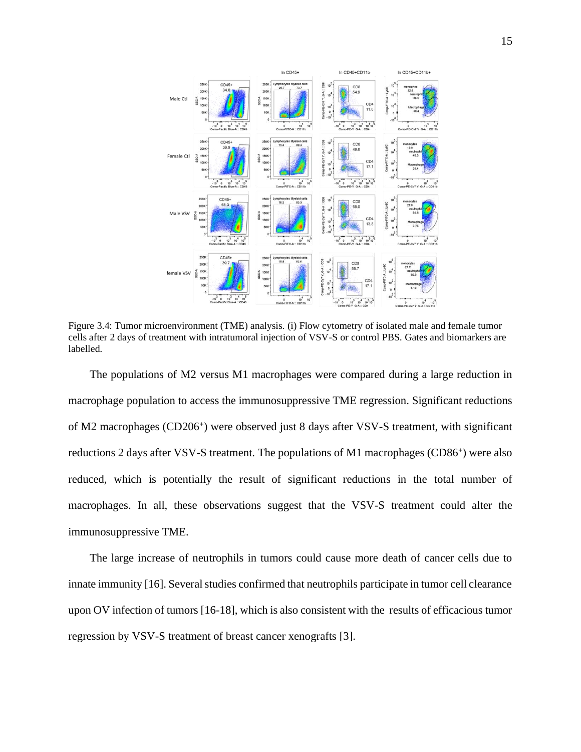

<span id="page-28-0"></span>Figure 3.4: Tumor microenvironment (TME) analysis. (i) Flow cytometry of isolated male and female tumor cells after 2 days of treatment with intratumoral injection of VSV-S or control PBS. Gates and biomarkers are labelled.

The populations of M2 versus M1 macrophages were compared during a large reduction in macrophage population to access the immunosuppressive TME regression. Significant reductions of M2 macrophages (CD206<sup>+</sup>) were observed just 8 days after VSV-S treatment, with significant reductions 2 days after VSV-S treatment. The populations of M1 macrophages (CD86<sup>+</sup>) were also reduced, which is potentially the result of significant reductions in the total number of macrophages. In all, these observations suggest that the VSV-S treatment could alter the immunosuppressive TME.

The large increase of neutrophils in tumors could cause more death of cancer cells due to innate immunity [16]. Several studies confirmed that neutrophils participate in tumor cell clearance upon OV infection of tumors [16-18], which is also consistent with the results of efficacious tumor regression by VSV-S treatment of breast cancer xenografts [3].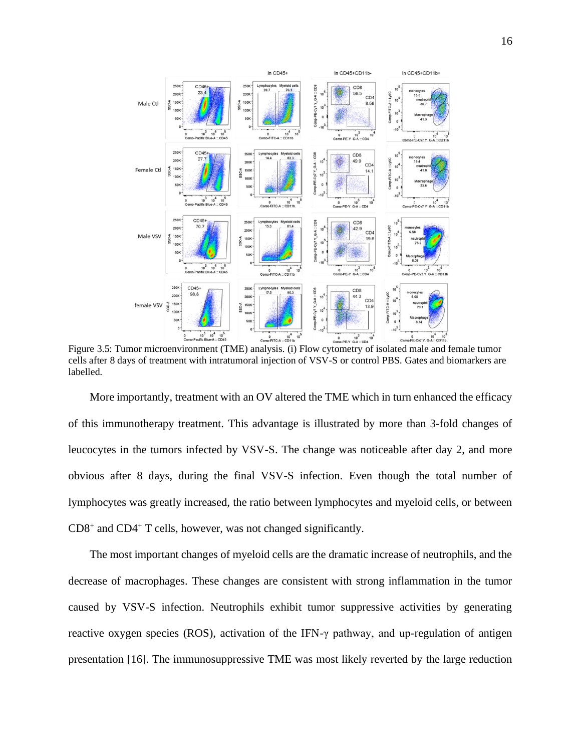

<span id="page-29-0"></span> $10^3$ <br>G-A :: CD4 Figure 3.5: Tumor microenvironment (TME) analysis. (i) Flow cytometry of isolated male and female tumor cells after 8 days of treatment with intratumoral injection of VSV-S or control PBS. Gates and biomarkers are labelled.

More importantly, treatment with an OV altered the TME which in turn enhanced the efficacy of this immunotherapy treatment. This advantage is illustrated by more than 3-fold changes of leucocytes in the tumors infected by VSV-S. The change was noticeable after day 2, and more obvious after 8 days, during the final VSV-S infection. Even though the total number of lymphocytes was greatly increased, the ratio between lymphocytes and myeloid cells, or between CD8<sup>+</sup> and CD4<sup>+</sup> T cells, however, was not changed significantly.

The most important changes of myeloid cells are the dramatic increase of neutrophils, and the decrease of macrophages. These changes are consistent with strong inflammation in the tumor caused by VSV-S infection. Neutrophils exhibit tumor suppressive activities by generating reactive oxygen species (ROS), activation of the IFN-γ pathway, and up-regulation of antigen presentation [16]. The immunosuppressive TME was most likely reverted by the large reduction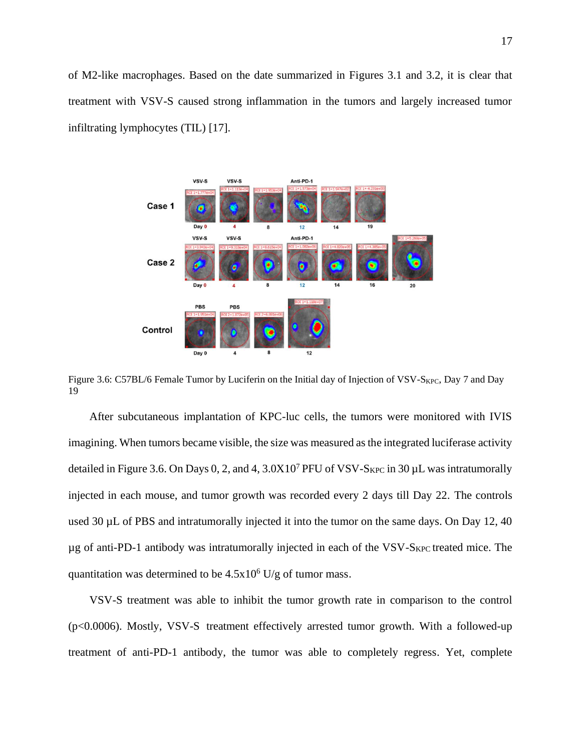of M2-like macrophages. Based on the date summarized in Figures 3.1 and 3.2, it is clear that treatment with VSV-S caused strong inflammation in the tumors and largely increased tumor infiltrating lymphocytes (TIL) [17].



Figure 3.6: C57BL/6 Female Tumor by Luciferin on the Initial day of Injection of VSV-S<sub>KPC</sub>, Day 7 and Day 19

After subcutaneous implantation of KPC-luc cells, the tumors were monitored with IVIS imagining. When tumors became visible, the size was measured as the integrated luciferase activity detailed in Figure 3.6. On Days 0, 2, and 4,  $3.0X10<sup>7</sup>$  PFU of VSV-S<sub>KPC</sub> in 30  $\mu$ L was intratumorally injected in each mouse, and tumor growth was recorded every 2 days till Day 22. The controls used 30 µL of PBS and intratumorally injected it into the tumor on the same days. On Day 12, 40  $\mu$ g of anti-PD-1 antibody was intratumorally injected in each of the VSV-S<sub>KPC</sub> treated mice. The quantitation was determined to be  $4.5x10^6$  U/g of tumor mass.

VSV-S treatment was able to inhibit the tumor growth rate in comparison to the control (p<0.0006). Mostly, VSV-S treatment effectively arrested tumor growth. With a followed-up treatment of anti-PD-1 antibody, the tumor was able to completely regress. Yet, complete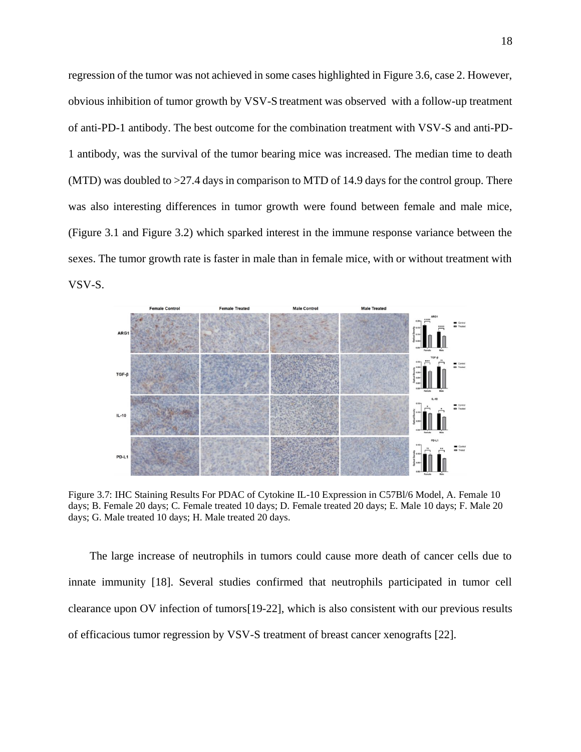regression of the tumor was not achieved in some cases highlighted in Figure 3.6, case 2. However, obvious inhibition of tumor growth by VSV-S treatment was observed with a follow-up treatment of anti-PD-1 antibody. The best outcome for the combination treatment with VSV-S and anti-PD-1 antibody, was the survival of the tumor bearing mice was increased. The median time to death (MTD) was doubled to  $>27.4$  days in comparison to MTD of 14.9 days for the control group. There was also interesting differences in tumor growth were found between female and male mice, (Figure 3.1 and Figure 3.2) which sparked interest in the immune response variance between the sexes. The tumor growth rate is faster in male than in female mice, with or without treatment with VSV-S.



<span id="page-31-0"></span>Figure 3.7: IHC Staining Results For PDAC of Cytokine IL-10 Expression in C57Bl/6 Model, A. Female 10 days; B. Female 20 days; C. Female treated 10 days; D. Female treated 20 days; E. Male 10 days; F. Male 20 days; G. Male treated 10 days; H. Male treated 20 days.

The large increase of neutrophils in tumors could cause more death of cancer cells due to innate immunity [18]. Several studies confirmed that neutrophils participated in tumor cell clearance upon OV infection of tumors[19-22], which is also consistent with our previous results of efficacious tumor regression by VSV-S treatment of breast cancer xenografts [22].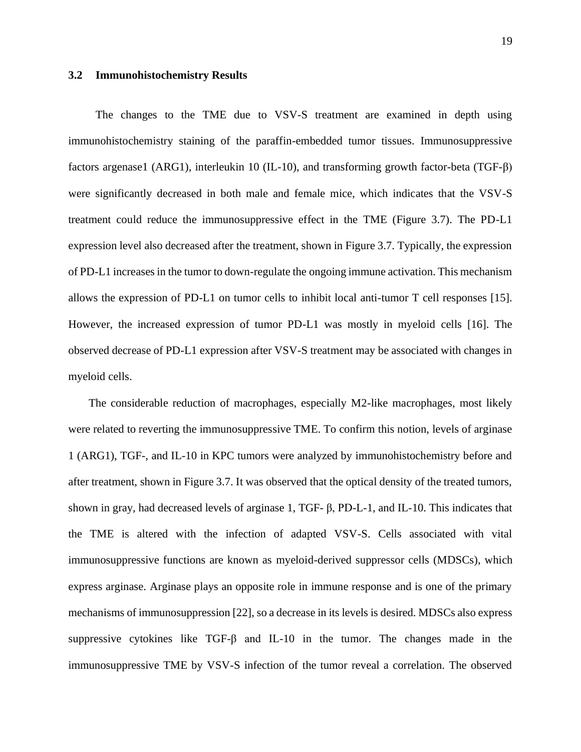#### **3.2 Immunohistochemistry Results**

The changes to the TME due to VSV-S treatment are examined in depth using immunohistochemistry staining of the paraffin-embedded tumor tissues. Immunosuppressive factors argenase1 (ARG1), interleukin 10 (IL-10), and transforming growth factor-beta (TGF-β) were significantly decreased in both male and female mice, which indicates that the VSV-S treatment could reduce the immunosuppressive effect in the TME (Figure 3.7). The PD-L1 expression level also decreased after the treatment, shown in Figure 3.7. Typically, the expression of PD-L1 increases in the tumor to down-regulate the ongoing immune activation. This mechanism allows the expression of PD-L1 on tumor cells to inhibit local anti-tumor T cell responses [15]. However, the increased expression of tumor PD-L1 was mostly in myeloid cells [16]. The observed decrease of PD-L1 expression after VSV-S treatment may be associated with changes in myeloid cells.

The considerable reduction of macrophages, especially M2-like macrophages, most likely were related to reverting the immunosuppressive TME. To confirm this notion, levels of arginase 1 (ARG1), TGF-, and IL-10 in KPC tumors were analyzed by immunohistochemistry before and after treatment, shown in Figure 3.7. It was observed that the optical density of the treated tumors, shown in gray, had decreased levels of arginase 1, TGF- β, PD-L-1, and IL-10. This indicates that the TME is altered with the infection of adapted VSV-S. Cells associated with vital immunosuppressive functions are known as myeloid-derived suppressor cells (MDSCs), which express arginase. Arginase plays an opposite role in immune response and is one of the primary mechanisms of immunosuppression [22], so a decrease in its levels is desired. MDSCs also express suppressive cytokines like TGF-β and IL-10 in the tumor. The changes made in the immunosuppressive TME by VSV-S infection of the tumor reveal a correlation. The observed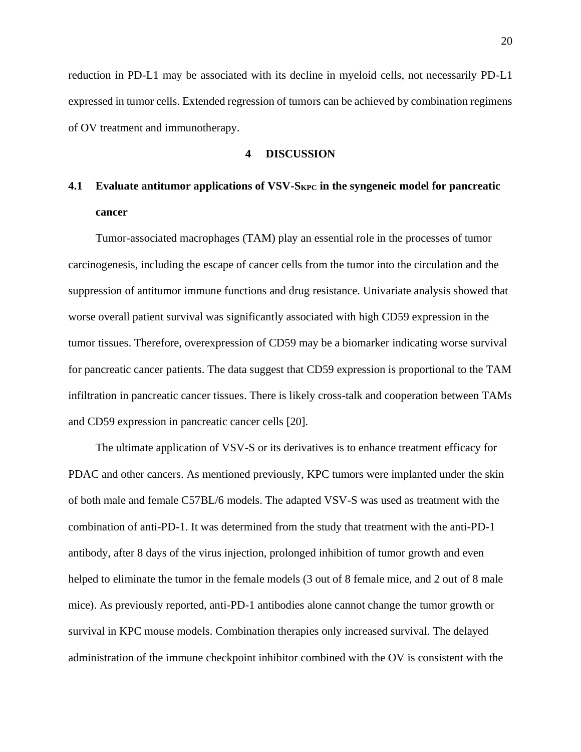reduction in PD-L1 may be associated with its decline in myeloid cells, not necessarily PD-L1 expressed in tumor cells. Extended regression of tumors can be achieved by combination regimens of OV treatment and immunotherapy.

## **4 DISCUSSION**

# **4.1 Evaluate antitumor applications of VSV-SKPC in the syngeneic model for pancreatic cancer**

Tumor-associated macrophages (TAM) play an essential role in the processes of tumor carcinogenesis, including the escape of cancer cells from the tumor into the circulation and the suppression of antitumor immune functions and drug resistance. Univariate analysis showed that worse overall patient survival was significantly associated with high CD59 expression in the tumor tissues. Therefore, overexpression of CD59 may be a biomarker indicating worse survival for pancreatic cancer patients. The data suggest that CD59 expression is proportional to the TAM infiltration in pancreatic cancer tissues. There is likely cross-talk and cooperation between TAMs and CD59 expression in pancreatic cancer cells [20].

The ultimate application of VSV-S or its derivatives is to enhance treatment efficacy for PDAC and other cancers. As mentioned previously, KPC tumors were implanted under the skin of both male and female C57BL/6 models. The adapted VSV-S was used as treatment with the combination of anti-PD-1. It was determined from the study that treatment with the anti-PD-1 antibody, after 8 days of the virus injection, prolonged inhibition of tumor growth and even helped to eliminate the tumor in the female models (3 out of 8 female mice, and 2 out of 8 male mice). As previously reported, anti-PD-1 antibodies alone cannot change the tumor growth or survival in KPC mouse models. Combination therapies only increased survival. The delayed administration of the immune checkpoint inhibitor combined with the OV is consistent with the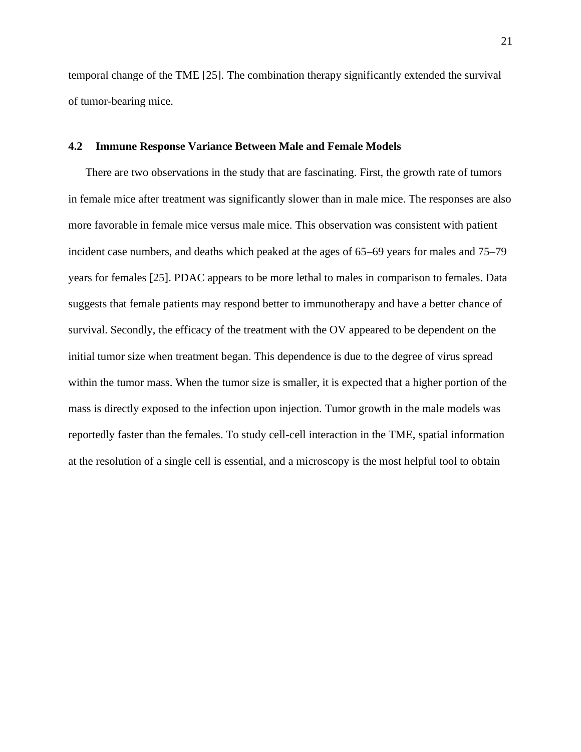temporal change of the TME [25]. The combination therapy significantly extended the survival of tumor-bearing mice.

# **4.2 Immune Response Variance Between Male and Female Models**

There are two observations in the study that are fascinating. First, the growth rate of tumors in female mice after treatment was significantly slower than in male mice. The responses are also more favorable in female mice versus male mice. This observation was consistent with patient incident case numbers, and deaths which peaked at the ages of 65–69 years for males and 75–79 years for females [25]. PDAC appears to be more lethal to males in comparison to females. Data suggests that female patients may respond better to immunotherapy and have a better chance of survival. Secondly, the efficacy of the treatment with the OV appeared to be dependent on the initial tumor size when treatment began. This dependence is due to the degree of virus spread within the tumor mass. When the tumor size is smaller, it is expected that a higher portion of the mass is directly exposed to the infection upon injection. Tumor growth in the male models was reportedly faster than the females. To study cell-cell interaction in the TME, spatial information at the resolution of a single cell is essential, and a microscopy is the most helpful tool to obtain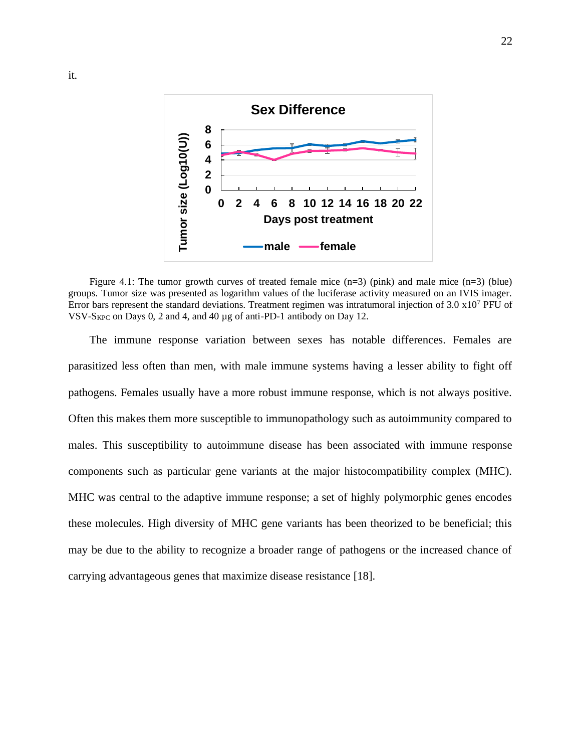

Figure 4.1: The tumor growth curves of treated female mice  $(n=3)$  (pink) and male mice  $(n=3)$  (blue) groups. Tumor size was presented as logarithm values of the luciferase activity measured on an IVIS imager. Error bars represent the standard deviations. Treatment regimen was intratumoral injection of 3.0 x10<sup>7</sup> PFU of VSV- $S_{KPC}$  on Days 0, 2 and 4, and 40 µg of anti-PD-1 antibody on Day 12.

The immune response variation between sexes has notable differences. Females are parasitized less often than men, with male immune systems having a lesser ability to fight off pathogens. Females usually have a more robust immune response, which is not always positive. Often this makes them more susceptible to immunopathology such as autoimmunity compared to males. This susceptibility to autoimmune disease has been associated with immune response components such as particular gene variants at the major histocompatibility complex (MHC). MHC was central to the adaptive immune response; a set of highly polymorphic genes encodes these molecules. High diversity of MHC gene variants has been theorized to be beneficial; this may be due to the ability to recognize a broader range of pathogens or the increased chance of carrying advantageous genes that maximize disease resistance [18].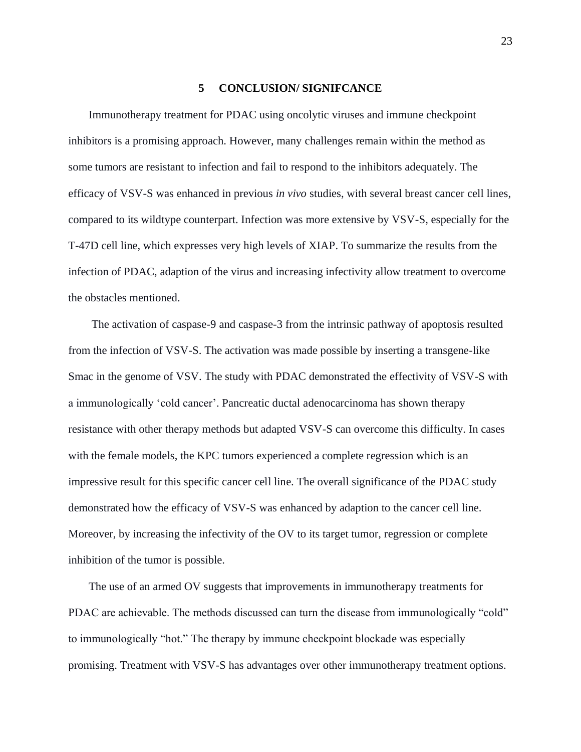#### **5 CONCLUSION/ SIGNIFCANCE**

Immunotherapy treatment for PDAC using oncolytic viruses and immune checkpoint inhibitors is a promising approach. However, many challenges remain within the method as some tumors are resistant to infection and fail to respond to the inhibitors adequately. The efficacy of VSV-S was enhanced in previous *in vivo* studies, with several breast cancer cell lines, compared to its wildtype counterpart. Infection was more extensive by VSV-S, especially for the T-47D cell line, which expresses very high levels of XIAP. To summarize the results from the infection of PDAC, adaption of the virus and increasing infectivity allow treatment to overcome the obstacles mentioned.

The activation of caspase-9 and caspase-3 from the intrinsic pathway of apoptosis resulted from the infection of VSV-S. The activation was made possible by inserting a transgene-like Smac in the genome of VSV. The study with PDAC demonstrated the effectivity of VSV-S with a immunologically 'cold cancer'. Pancreatic ductal adenocarcinoma has shown therapy resistance with other therapy methods but adapted VSV-S can overcome this difficulty. In cases with the female models, the KPC tumors experienced a complete regression which is an impressive result for this specific cancer cell line. The overall significance of the PDAC study demonstrated how the efficacy of VSV-S was enhanced by adaption to the cancer cell line. Moreover, by increasing the infectivity of the OV to its target tumor, regression or complete inhibition of the tumor is possible.

The use of an armed OV suggests that improvements in immunotherapy treatments for PDAC are achievable. The methods discussed can turn the disease from immunologically "cold" to immunologically "hot." The therapy by immune checkpoint blockade was especially promising. Treatment with VSV-S has advantages over other immunotherapy treatment options.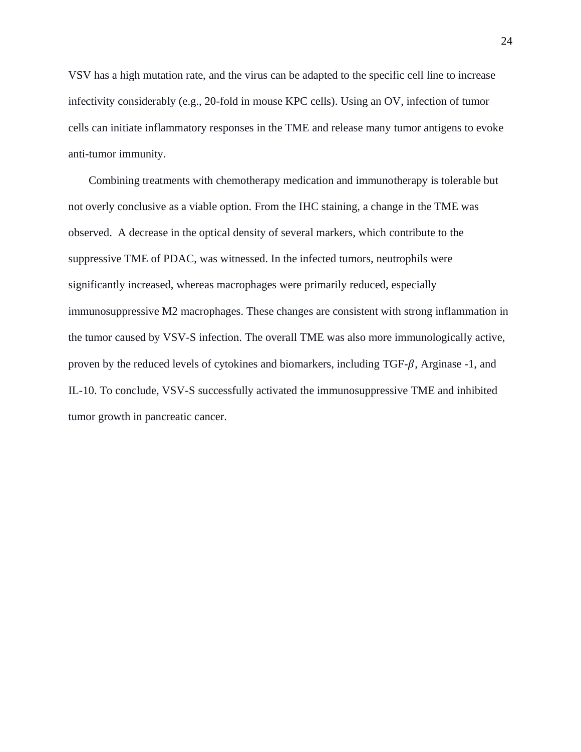VSV has a high mutation rate, and the virus can be adapted to the specific cell line to increase infectivity considerably (e.g., 20-fold in mouse KPC cells). Using an OV, infection of tumor cells can initiate inflammatory responses in the TME and release many tumor antigens to evoke anti-tumor immunity.

Combining treatments with chemotherapy medication and immunotherapy is tolerable but not overly conclusive as a viable option. From the IHC staining, a change in the TME was observed. A decrease in the optical density of several markers, which contribute to the suppressive TME of PDAC, was witnessed. In the infected tumors, neutrophils were significantly increased, whereas macrophages were primarily reduced, especially immunosuppressive M2 macrophages. These changes are consistent with strong inflammation in the tumor caused by VSV-S infection. The overall TME was also more immunologically active, proven by the reduced levels of cytokines and biomarkers, including  $TGF-\beta$ , Arginase -1, and IL-10. To conclude, VSV-S successfully activated the immunosuppressive TME and inhibited tumor growth in pancreatic cancer.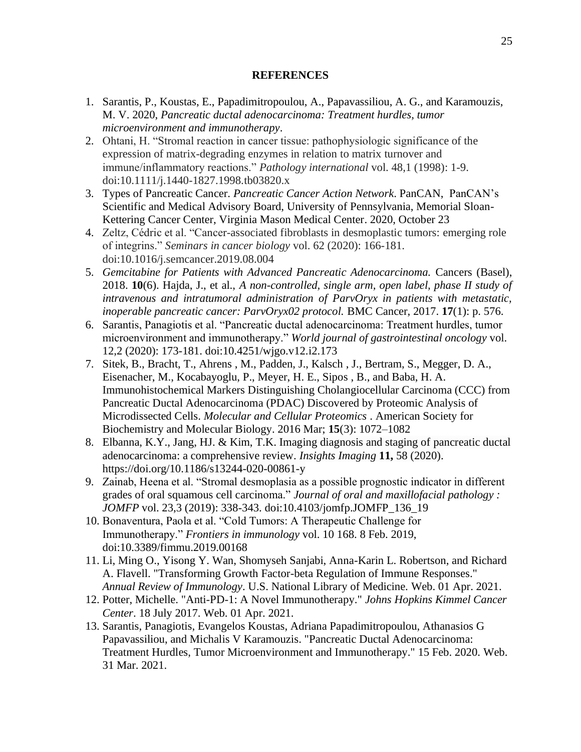### **REFERENCES**

- 1. Sarantis, P., Koustas, E., Papadimitropoulou, A., Papavassiliou, A. G., and Karamouzis, M. V. 2020, *Pancreatic ductal adenocarcinoma: Treatment hurdles, tumor microenvironment and immunotherapy*.
- 2. Ohtani, H. "Stromal reaction in cancer tissue: pathophysiologic significance of the expression of matrix-degrading enzymes in relation to matrix turnover and immune/inflammatory reactions." *Pathology international* vol. 48,1 (1998): 1-9. doi:10.1111/j.1440-1827.1998.tb03820.x
- 3. Types of Pancreatic Cancer. *Pancreatic Cancer Action Network*. PanCAN, PanCAN's Scientific and Medical Advisory Board, University of Pennsylvania, Memorial Sloan-Kettering Cancer Center, Virginia Mason Medical Center. 2020, October 23
- 4. Zeltz, Cédric et al. "Cancer-associated fibroblasts in desmoplastic tumors: emerging role of integrins." *Seminars in cancer biology* vol. 62 (2020): 166-181. doi:10.1016/j.semcancer.2019.08.004
- 5. *Gemcitabine for Patients with Advanced Pancreatic Adenocarcinoma.* Cancers (Basel), 2018. **10**(6). Hajda, J., et al., *A non-controlled, single arm, open label, phase II study of intravenous and intratumoral administration of ParvOryx in patients with metastatic, inoperable pancreatic cancer: ParvOryx02 protocol.* BMC Cancer, 2017. **17**(1): p. 576.
- 6. Sarantis, Panagiotis et al. "Pancreatic ductal adenocarcinoma: Treatment hurdles, tumor microenvironment and immunotherapy." *World journal of gastrointestinal oncology* vol. 12,2 (2020): 173-181. doi:10.4251/wjgo.v12.i2.173
- 7. Sitek, B., Bracht, T., Ahrens , M., Padden, J., Kalsch , J., Bertram, S., Megger, D. A., Eisenacher, M., Kocabayoglu, P., Meyer, H. E., Sipos , B., and Baba, H. A. Immunohistochemical Markers Distinguishing Cholangiocellular Carcinoma (CCC) from Pancreatic Ductal Adenocarcinoma (PDAC) Discovered by Proteomic Analysis of Microdissected Cells. *Molecular and Cellular Proteomics* . American Society for Biochemistry and Molecular Biology. 2016 Mar; **15**(3): 1072–1082
- 8. Elbanna, K.Y., Jang, HJ. & Kim, T.K. Imaging diagnosis and staging of pancreatic ductal adenocarcinoma: a comprehensive review. *Insights Imaging* **11,** 58 (2020). https://doi.org/10.1186/s13244-020-00861-y
- 9. Zainab, Heena et al. "Stromal desmoplasia as a possible prognostic indicator in different grades of oral squamous cell carcinoma." *Journal of oral and maxillofacial pathology : JOMFP* vol. 23,3 (2019): 338-343. doi:10.4103/jomfp.JOMFP\_136\_19
- 10. Bonaventura, Paola et al. "Cold Tumors: A Therapeutic Challenge for Immunotherapy." *Frontiers in immunology* vol. 10 168. 8 Feb. 2019, doi:10.3389/fimmu.2019.00168
- 11. Li, Ming O., Yisong Y. Wan, Shomyseh Sanjabi, Anna-Karin L. Robertson, and Richard A. Flavell. "Transforming Growth Factor-beta Regulation of Immune Responses." *Annual Review of Immunology*. U.S. National Library of Medicine. Web. 01 Apr. 2021.
- 12. Potter, Michelle. "Anti-PD-1: A Novel Immunotherapy." *Johns Hopkins Kimmel Cancer Center*. 18 July 2017. Web. 01 Apr. 2021.
- 13. Sarantis, Panagiotis, Evangelos Koustas, Adriana Papadimitropoulou, Athanasios G Papavassiliou, and Michalis V Karamouzis. "Pancreatic Ductal Adenocarcinoma: Treatment Hurdles, Tumor Microenvironment and Immunotherapy." 15 Feb. 2020. Web. 31 Mar. 2021.